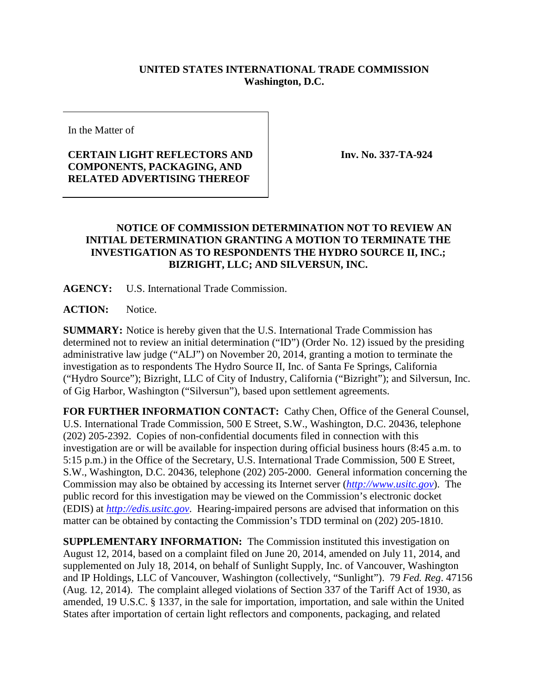## **UNITED STATES INTERNATIONAL TRADE COMMISSION Washington, D.C.**

In the Matter of

## **CERTAIN LIGHT REFLECTORS AND COMPONENTS, PACKAGING, AND RELATED ADVERTISING THEREOF**

**Inv. No. 337-TA-924**

## **NOTICE OF COMMISSION DETERMINATION NOT TO REVIEW AN INITIAL DETERMINATION GRANTING A MOTION TO TERMINATE THE INVESTIGATION AS TO RESPONDENTS THE HYDRO SOURCE II, INC.; BIZRIGHT, LLC; AND SILVERSUN, INC.**

**AGENCY:** U.S. International Trade Commission.

ACTION: Notice.

**SUMMARY:** Notice is hereby given that the U.S. International Trade Commission has determined not to review an initial determination ("ID") (Order No. 12) issued by the presiding administrative law judge ("ALJ") on November 20, 2014, granting a motion to terminate the investigation as to respondents The Hydro Source II, Inc. of Santa Fe Springs, California ("Hydro Source"); Bizright, LLC of City of Industry, California ("Bizright"); and Silversun, Inc. of Gig Harbor, Washington ("Silversun"), based upon settlement agreements.

**FOR FURTHER INFORMATION CONTACT:** Cathy Chen, Office of the General Counsel, U.S. International Trade Commission, 500 E Street, S.W., Washington, D.C. 20436, telephone (202) 205-2392. Copies of non-confidential documents filed in connection with this investigation are or will be available for inspection during official business hours (8:45 a.m. to 5:15 p.m.) in the Office of the Secretary, U.S. International Trade Commission, 500 E Street, S.W., Washington, D.C. 20436, telephone (202) 205-2000. General information concerning the Commission may also be obtained by accessing its Internet server (*[http://www.usitc.gov](http://www.usitc.gov/)*). The public record for this investigation may be viewed on the Commission's electronic docket (EDIS) at *[http://edis.usitc.gov](http://edis.usitc.gov/)*. Hearing-impaired persons are advised that information on this matter can be obtained by contacting the Commission's TDD terminal on (202) 205-1810.

**SUPPLEMENTARY INFORMATION:** The Commission instituted this investigation on August 12, 2014, based on a complaint filed on June 20, 2014, amended on July 11, 2014, and supplemented on July 18, 2014, on behalf of Sunlight Supply, Inc. of Vancouver, Washington and IP Holdings, LLC of Vancouver, Washington (collectively, "Sunlight"). 79 *Fed. Reg*. 47156 (Aug. 12, 2014). The complaint alleged violations of Section 337 of the Tariff Act of 1930, as amended, 19 U.S.C. § 1337, in the sale for importation, importation, and sale within the United States after importation of certain light reflectors and components, packaging, and related